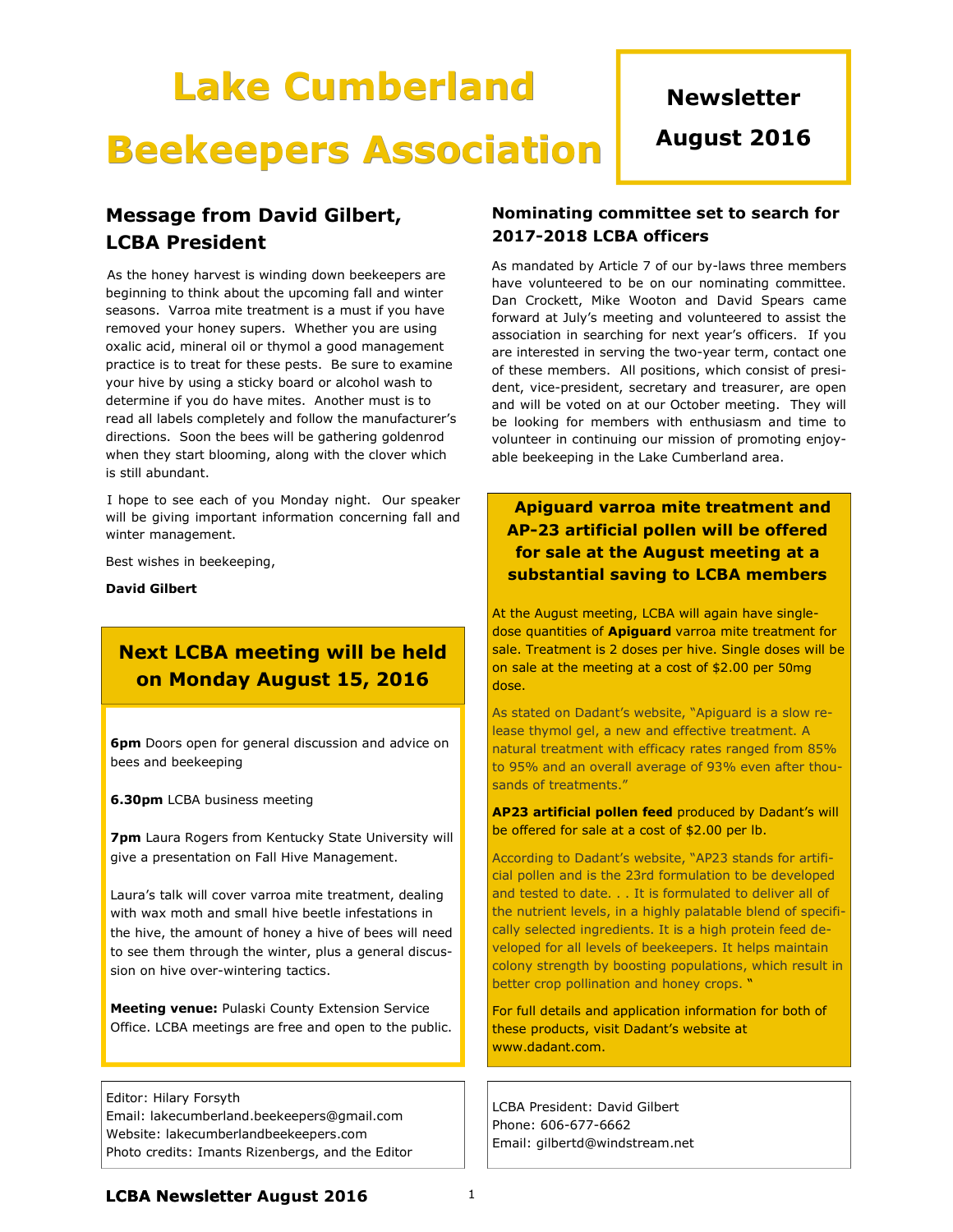# Lake Cumberland Beekeepers Association

## **Newsletter**

August 2016

## Message from David Gilbert, LCBA President

 As the honey harvest is winding down beekeepers are beginning to think about the upcoming fall and winter seasons. Varroa mite treatment is a must if you have removed your honey supers. Whether you are using oxalic acid, mineral oil or thymol a good management practice is to treat for these pests. Be sure to examine your hive by using a sticky board or alcohol wash to determine if you do have mites. Another must is to read all labels completely and follow the manufacturer's directions. Soon the bees will be gathering goldenrod when they start blooming, along with the clover which is still abundant.

 I hope to see each of you Monday night. Our speaker will be giving important information concerning fall and winter management.

Best wishes in beekeeping,

David Gilbert

## Next LCBA meeting will be held on Monday August 15, 2016

6pm Doors open for general discussion and advice on bees and beekeeping

**6.30pm** LCBA business meeting

**7pm** Laura Rogers from Kentucky State University will give a presentation on Fall Hive Management.

Laura's talk will cover varroa mite treatment, dealing with wax moth and small hive beetle infestations in the hive, the amount of honey a hive of bees will need to see them through the winter, plus a general discussion on hive over-wintering tactics.

Meeting venue: Pulaski County Extension Service Office. LCBA meetings are free and open to the public.

Editor: Hilary Forsyth Email: lakecumberland.beekeepers@gmail.com Website: lakecumberlandbeekeepers.com Photo credits: Imants Rizenbergs, and the Editor

#### Nominating committee set to search for 2017-2018 LCBA officers

As mandated by Article 7 of our by-laws three members have volunteered to be on our nominating committee. Dan Crockett, Mike Wooton and David Spears came forward at July's meeting and volunteered to assist the association in searching for next year's officers. If you are interested in serving the two-year term, contact one of these members. All positions, which consist of president, vice-president, secretary and treasurer, are open and will be voted on at our October meeting. They will be looking for members with enthusiasm and time to volunteer in continuing our mission of promoting enjoyable beekeeping in the Lake Cumberland area.

## Apiguard varroa mite treatment and AP-23 artificial pollen will be offered for sale at the August meeting at a substantial saving to LCBA members

At the August meeting, LCBA will again have singledose quantities of **Apiguard** varroa mite treatment for sale. Treatment is 2 doses per hive. Single doses will be on sale at the meeting at a cost of \$2.00 per 50mg dose.

As stated on Dadant's website, "Apiguard is a slow release thymol gel, a new and effective treatment. A natural treatment with efficacy rates ranged from 85% to 95% and an overall average of 93% even after thousands of treatments."

AP23 artificial pollen feed produced by Dadant's will be offered for sale at a cost of \$2.00 per lb.

According to Dadant's website, "AP23 stands for artificial pollen and is the 23rd formulation to be developed and tested to date. . . It is formulated to deliver all of the nutrient levels, in a highly palatable blend of specifically selected ingredients. It is a high protein feed developed for all levels of beekeepers. It helps maintain colony strength by boosting populations, which result in better crop pollination and honey crops. "

For full details and application information for both of these products, visit Dadant's website at www.dadant.com.

LCBA President: David Gilbert Phone: 606-677-6662 Email: gilbertd@windstream.net

### **LCBA Newsletter August 2016**  $1$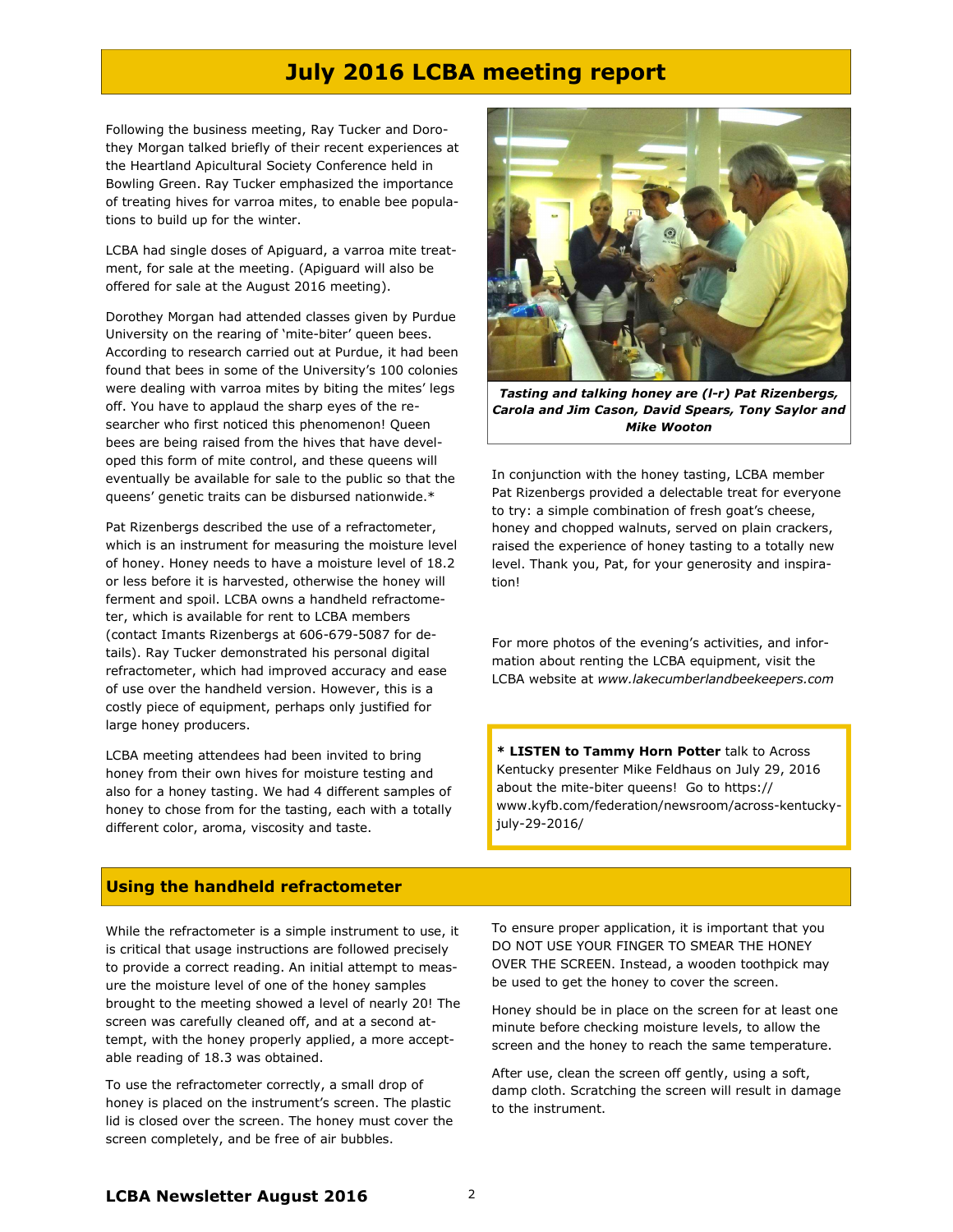## July 2016 LCBA meeting report

Following the business meeting, Ray Tucker and Dorothey Morgan talked briefly of their recent experiences at the Heartland Apicultural Society Conference held in Bowling Green. Ray Tucker emphasized the importance of treating hives for varroa mites, to enable bee populations to build up for the winter.

LCBA had single doses of Apiguard, a varroa mite treatment, for sale at the meeting. (Apiguard will also be offered for sale at the August 2016 meeting).

Dorothey Morgan had attended classes given by Purdue University on the rearing of 'mite-biter' queen bees. According to research carried out at Purdue, it had been found that bees in some of the University's 100 colonies were dealing with varroa mites by biting the mites' legs off. You have to applaud the sharp eyes of the researcher who first noticed this phenomenon! Queen bees are being raised from the hives that have developed this form of mite control, and these queens will eventually be available for sale to the public so that the queens' genetic traits can be disbursed nationwide.\*

Pat Rizenbergs described the use of a refractometer, which is an instrument for measuring the moisture level of honey. Honey needs to have a moisture level of 18.2 or less before it is harvested, otherwise the honey will ferment and spoil. LCBA owns a handheld refractometer, which is available for rent to LCBA members (contact Imants Rizenbergs at 606-679-5087 for details). Ray Tucker demonstrated his personal digital refractometer, which had improved accuracy and ease of use over the handheld version. However, this is a costly piece of equipment, perhaps only justified for large honey producers.

LCBA meeting attendees had been invited to bring honey from their own hives for moisture testing and also for a honey tasting. We had 4 different samples of honey to chose from for the tasting, each with a totally different color, aroma, viscosity and taste.



Tasting and talking honey are (l-r) Pat Rizenbergs, Carola and Jim Cason, David Spears, Tony Saylor and Mike Wooton

In conjunction with the honey tasting, LCBA member Pat Rizenbergs provided a delectable treat for everyone to try: a simple combination of fresh goat's cheese, honey and chopped walnuts, served on plain crackers, raised the experience of honey tasting to a totally new level. Thank you, Pat, for your generosity and inspiration!

For more photos of the evening's activities, and information about renting the LCBA equipment, visit the LCBA website at www.lakecumberlandbeekeepers.com

\* LISTEN to Tammy Horn Potter talk to Across Kentucky presenter Mike Feldhaus on July 29, 2016 about the mite-biter queens! Go to https:// www.kyfb.com/federation/newsroom/across-kentuckyjuly-29-2016/

#### Using the handheld refractometer

While the refractometer is a simple instrument to use, it is critical that usage instructions are followed precisely to provide a correct reading. An initial attempt to measure the moisture level of one of the honey samples brought to the meeting showed a level of nearly 20! The screen was carefully cleaned off, and at a second attempt, with the honey properly applied, a more acceptable reading of 18.3 was obtained.

To use the refractometer correctly, a small drop of honey is placed on the instrument's screen. The plastic lid is closed over the screen. The honey must cover the screen completely, and be free of air bubbles.

To ensure proper application, it is important that you DO NOT USE YOUR FINGER TO SMEAR THE HONEY OVER THE SCREEN. Instead, a wooden toothpick may be used to get the honey to cover the screen.

Honey should be in place on the screen for at least one minute before checking moisture levels, to allow the screen and the honey to reach the same temperature.

After use, clean the screen off gently, using a soft, damp cloth. Scratching the screen will result in damage to the instrument.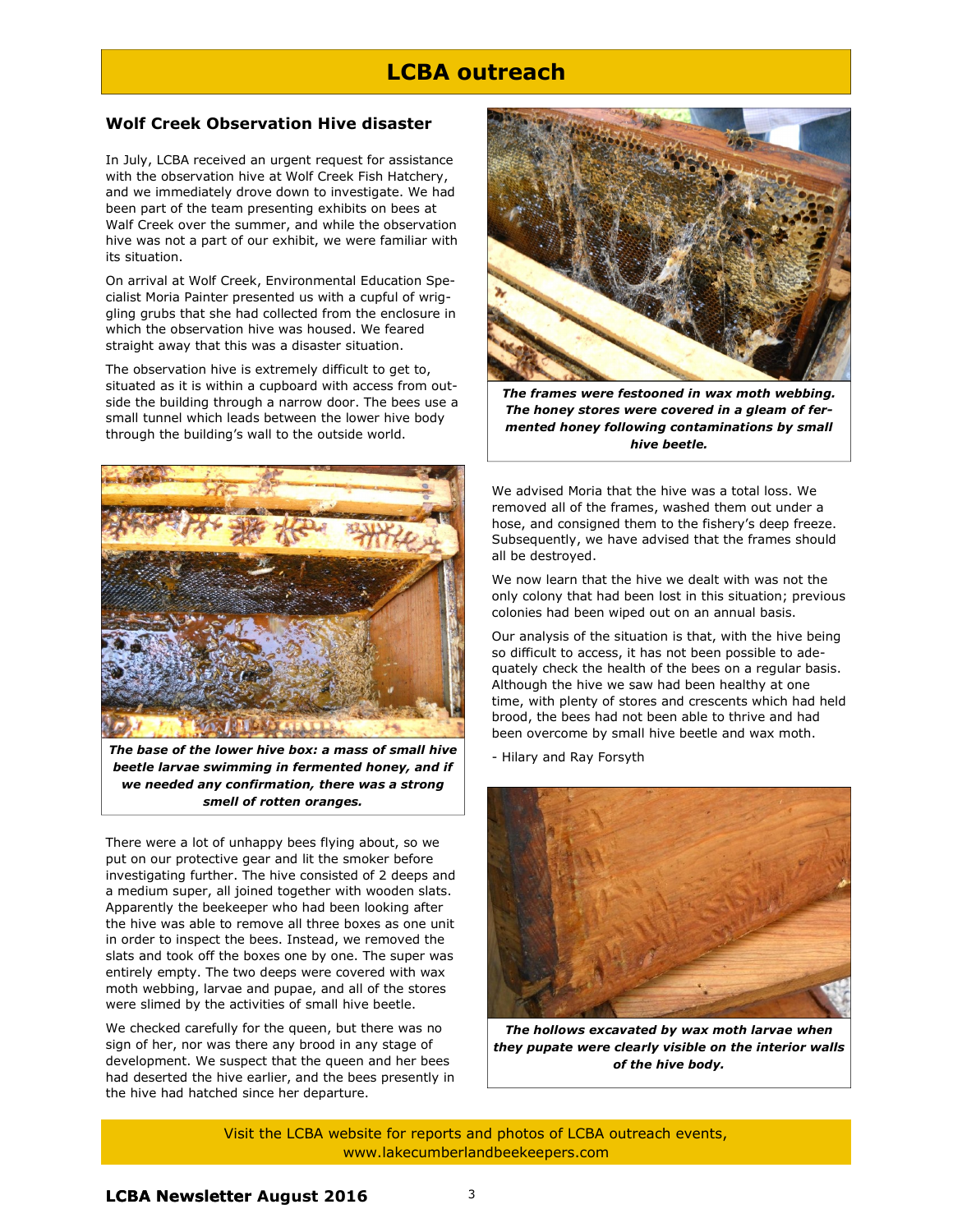## LCBA outreach

#### Wolf Creek Observation Hive disaster

In July, LCBA received an urgent request for assistance with the observation hive at Wolf Creek Fish Hatchery, and we immediately drove down to investigate. We had been part of the team presenting exhibits on bees at Walf Creek over the summer, and while the observation hive was not a part of our exhibit, we were familiar with its situation.

On arrival at Wolf Creek, Environmental Education Specialist Moria Painter presented us with a cupful of wriggling grubs that she had collected from the enclosure in which the observation hive was housed. We feared straight away that this was a disaster situation.

The observation hive is extremely difficult to get to, situated as it is within a cupboard with access from outside the building through a narrow door. The bees use a small tunnel which leads between the lower hive body through the building's wall to the outside world.



The base of the lower hive box: a mass of small hive beetle larvae swimming in fermented honey, and if we needed any confirmation, there was a strong smell of rotten oranges.

There were a lot of unhappy bees flying about, so we put on our protective gear and lit the smoker before investigating further. The hive consisted of 2 deeps and a medium super, all joined together with wooden slats. Apparently the beekeeper who had been looking after the hive was able to remove all three boxes as one unit in order to inspect the bees. Instead, we removed the slats and took off the boxes one by one. The super was entirely empty. The two deeps were covered with wax moth webbing, larvae and pupae, and all of the stores were slimed by the activities of small hive beetle.

We checked carefully for the queen, but there was no sign of her, nor was there any brood in any stage of development. We suspect that the queen and her bees had deserted the hive earlier, and the bees presently in the hive had hatched since her departure.



The frames were festooned in wax moth webbing. The honey stores were covered in a gleam of fermented honey following contaminations by small hive beetle.

We advised Moria that the hive was a total loss. We removed all of the frames, washed them out under a hose, and consigned them to the fishery's deep freeze. Subsequently, we have advised that the frames should all be destroyed.

We now learn that the hive we dealt with was not the only colony that had been lost in this situation; previous colonies had been wiped out on an annual basis.

Our analysis of the situation is that, with the hive being so difficult to access, it has not been possible to adequately check the health of the bees on a regular basis. Although the hive we saw had been healthy at one time, with plenty of stores and crescents which had held brood, the bees had not been able to thrive and had been overcome by small hive beetle and wax moth.

- Hilary and Ray Forsyth



The hollows excavated by wax moth larvae when they pupate were clearly visible on the interior walls of the hive body.

Visit the LCBA website for reports and photos of LCBA outreach events, www.lakecumberlandbeekeepers.com